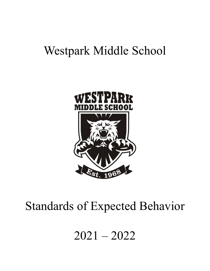# Westpark Middle School



# Standards of Expected Behavior

2021 – 2022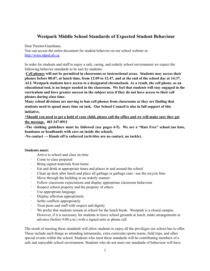# **Westpark Middle School Standards of Expected Student Behaviour**

Dear Parents/Guardians,

You can access the entire document for student behavior on our school website at: <http://wms.rdpsd.ab.ca/>

In order for students and staff to enjoy a safe, caring, and orderly school environment we expect the following behavior standards to be met by students:

**-Cell phones will not be permitted in classrooms or instructional areas. Students may access their** phones before 08:07, at lunch time, from 12:09 to 12:47, and at the end of the school day at 14:37. **ALL Westpark students have access to a designated chromebook. As a result, the cell phone, as an** educational tool, is no longer needed in the classroom. We feel that students will stay engaged in the **curriculum and have greater success in the subject area if they do not have access to their cell phones during class time.**

**Many school divisions are moving to ban cell phones from classrooms as they are finding that students need to spend more time on task. Our School Council is also in full support of this initiative.**

\*Should you need to get a hold of your child, please call the office and we will make sure they get **the message. 403 347-8911**

**-The clothing guidelines must be followed (see pages 4-5). We are a "Hats Free" school (no hats, bandanas or headbands with ears on inside the school).**

**-No contact → Hands off is enforced (activities are no contact, no tackle).**

#### **Students must:**

Arrive to school and class on time

· ·

- Come to class prepared
- Bring signed materials from home
- · Eat and drink at appropriate times and places in and around the school
- Clean up desk after lunch and place all garbage in garbage cans / use the recycle bins
- · Move through the building in an orderly manner
- · Follow classroom expectations and display appropriate classroom behaviour
- · Respect school property and the property of others
- Use appropriate language
- Display affection appropriately
- · Settle conflicts appropriately
- Treat peers and staff with respect and dignity
- We prefer that students remain at school for the lunch break. Westpark is a closed campus. However, if it is necessary for students to leave school grounds at lunch, make arrangements in advance (before 9:00 a.m.) with a signed note or phone call

The result of meeting these standards will allow students to enjoy all the privileges our school has to offer. These include such things as attending intramurals, extra curricular sports teams, field trips, and other special events within the school. Students who meet these standards will be contributing members of a safe and enjoyable school environment. Students who do not meet our standards of behaviour will have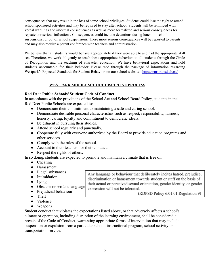consequences that may result in the loss of some school privileges. Students could lose the right to attend school sponsored activities and may be required to stay after school. Students will be reminded with verbal warnings and informal consequences as well as more formalized and serious consequences for repeated or serious infractions. Consequences could include detentions during lunch, in-school suspensions, or out of school suspensions. These more serious consequences will be reported to parents and may also require a parent conference with teachers and administration.

We believe that all students would behave appropriately if they were able to and had the appropriate skill set. Therefore, we work diligently to teach these appropriate behaviors to all students through the Circle of Recognition and the teaching of character education. We have behavioral expectations and hold students accountable for their behavior. Please read through the package of information regarding Westpark's Expected Standards for Student Behavior, on our school website: <http://wms.rdpsd.ab.ca/>

## **WESTPARK MIDDLE SCHOOL DISCIPLINE PROCESS**

## **Red Deer Public Schools' Student Code of Conduct:**

In accordance with the provisions of the School Act and School Board Policy, students in the Red Deer Public Schools are expected to:

- Demonstrate their commitment to maintaining a safe and caring school.
- Demonstrate desirable personal characteristics such as respect, responsibility, fairness, honesty, caring, loyalty and commitment to democratic ideals.
- Be diligent in pursuing their studies.
- Attend school regularly and punctually.
- Cooperate fully with everyone authorized by the Board to provide education programs and other services.

expression will not be tolerated.

Any language or behaviour that deliberately incites hatred, prejudice, discrimination or harassment towards student or staff on the basis of their actual or perceived sexual orientation, gender identity, or gender

(RDPSD Policy 6.01.01 Regulation 9)

- Comply with the rules of the school.
- Account to their teachers for their conduct.
- Respect the rights of others.

In so doing, students are expected to promote and maintain a climate that is free of:

- Cheating
- Harassment
- Illegal substances
- Intimidation
- Lying
- Obscene or profane language
- Prejudicial behaviour
- Theft
- Violence
- Weapons

Student conduct that violates the expectations listed above, or that adversely affects a school's climate or operation, including disruption of the learning environment, shall be considered a breach of the Code of Conduct, warranting appropriate forms of intervention that may include suspension or expulsion from a particular school, instructional program, school activity or transportation service.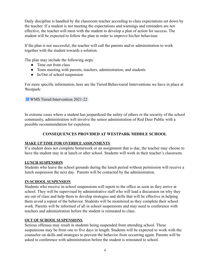Daily discipline is handled by the classroom teacher according to class expectations set down by the teacher. If a student is not meeting the expectations and warnings and reminders are not effective, the teacher will meet with the student to develop a plan of action for success. The student will be expected to follow the plan in order to improve his/her behaviour.

If the plan is not successful, the teacher will call the parents and/or administration to work together with the student towards a solution.

The plan may include the following steps:

- Time out from class
- Team meeting with parents, teachers, administration, and students
- $\bullet$  In/Out of school suspension

For more specific information, here are the Tiered Behavioural Interventions we have in place at Westpark:

# **E** [WMS Tiered Intervention 2021-22](https://docs.google.com/document/d/1uCJ6wp-oq-NJGDHlpccOvYTuh3IukgMVzxPMbPDiCo8/edit)

In extreme cases where a student has jeopardized the safety of others or the security of the school community, administration will involve the senior administration of Red Deer Public with a possible recommendation for expulsion.

# **CONSEQUENCES PROVIDED AT WESTPARK MIDDLE SCHOOL**

# **MAKE UP TIME FOR OVERDUE ASSIGNMENTS**

If a student does not complete homework or an assignment that is due, the teacher may choose to have the student stay in at lunch or after school. Students will work in their teacher's classroom.

# **LUNCH SUSPENSION**

Students who leave the school grounds during the lunch period without permission will receive a lunch suspension the next day. Parents will be contacted by the administration.

# **IN-SCHOOL SUSPENSION**

Students who receive in-school suspensions will report to the office as soon as they arrive at school. They will be supervised by administrative staff who will lead a discussion on why they are out of class and help them to develop strategies and skills that will be effective in helping them avoid a repeat of the behavior. Students will be monitored as they complete their school work. Parents will be informed of all in school suspensions and may need to conference with teachers and administration before the student is reinstated to class.

# **OUT OF SCHOOL SUSPENSIONS**

Serious offenses may result in students being suspended from attending school. These suspensions may be from one to five days in length. Students will be expected to work with the counselor on skills and strategies to prevent the behavior from occurring again. Parents will be asked to conference with administration before the student is reinstated to school.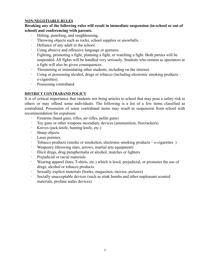## **NON-NEGOTIABLE RULES**

**Breaking any of the following rules will result in immediate suspension (in-school or out of school) and conferencing with parents.**

- Hitting, punching, and roughhousing.
- · Throwing objects such as rocks, school supplies or snowballs.
- Defiance of any adult in the school.
- · Using abusive and offensive language or gestures.
- · Fighting, promoting a fight, planning a fight, or watching a fight. Both parties will be suspended. All fights will be handled very seriously. Students who remain as spectators at a fight will also be given consequences.
- Threatening or intimidating other students, including on the internet.
- Using or possessing alcohol, drugs or tobacco (including electronic smoking products e-cigarettes).
- · Possessing contraband.

# **DISTRICT CONTRABAND POLICY**

It is of critical importance that students not bring articles to school that may pose a safety risk to others or may offend some individuals. The following is a list of a few items classified as contraband. Possession of some contraband items may result in suspension from school with recommendation for expulsion:

- · Firearms (hand guns, rifles, air rifles, pellet guns)
- · Toy guns or other weapons incendiary devices (ammunition, firecrackers)
- · Knives (jack-knife, hunting knife, etc.)
- · Sharp objects
- Laser pointers
- Tobacco products (smoke or smokeless, electronic smoking products e-cigarettes)
- · Weaponry (throwing stars, arrows, martial arts equipment)
- · Illicit drugs, drug paraphernalia or alcohol, matches or lighters
- Prejudicial or racial materials
- · Wearing apparel (hats, T-shirts, etc.) which is lewd, prejudicial, or promotes the use of drugs, alcohol or tobacco products.
- Sexually explicit materials (books, magazines, movies, pictures)
- · Socially unacceptable devices (such as stink bombs and other unpleasant scented materials, profane audio devices)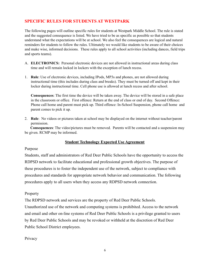# **SPECIFIC RULES FOR STUDENTS AT WESTPARK**

The following pages will outline specific rules for students at Westpark Middle School. The rule is stated and the suggested consequence is listed. We have tried to be as specific as possible so that students understand what the expectations will be at school. We also feel the consequences are logical and natural reminders for students to follow the rules. Ultimately we would like students to be aware of their choices and make wise, informed decisions. These rules apply to all school activities (including dances, field trips and sports teams).

- A. **ELECTRONICS:** Personal electronic devices are not allowed in instructional areas during class time and will remain locked in lockers with the exception of lunch recess.
- 1. **Rule**: Use of electronic devices, including IPods, MP3s and phones, are not allowed during instructional time (this includes during class and breaks). They must be turned off and kept in their locker during instructional time. Cell phone use is allowed at lunch recess and after school.

**Consequences**: The first time the device will be taken away. The device will be stored in a safe place in the classroom or office. First offence: Return at the end of class or end of day. Second Offence: Phone call home and parent must pick up. Third offence: In-School Suspension, phone call home and parent comes to pick it up.

2. **Rule**: No videos or pictures taken at school may be displayed on the internet without teacher/parent permission.

**Consequences**: The video/pictures must be removed. Parents will be contacted and a suspension may be given. RCMP may be informed.

# **Student Technology Expected Use Agreement**

#### Purpose

Students, staff and administrators of Red Deer Public Schools have the opportunity to access the RDPSD network to facilitate educational and professional growth objectives. The purpose of these procedures is to foster the independent use of the network, subject to compliance with procedures and standards for appropriate network behavior and communication. The following procedures apply to all users when they access any RDPSD network connection.

#### Property

The RDPSD network and services are the property of Red Deer Public Schools.

Unauthorized use of the network and computing systems is prohibited. Access to the network and email and other on-line systems of Red Deer Public Schools is a privilege granted to users by Red Deer Public Schools and may be revoked or withheld at the discretion of Red Deer Public School District employees.

#### **Privacy**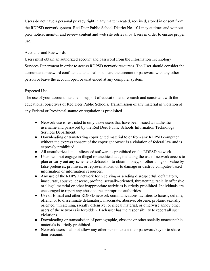Users do not have a personal privacy right in any matter created, received, stored in or sent from the RDPSD network system. Red Deer Public School District No. 104 may at times and without prior notice, monitor and review content and web site retrieval by Users in order to ensure proper use.

# Accounts and Passwords

Users must obtain an authorized account and password from the Information Technology Services Department in order to access RDPSD network resources. The User should consider the account and password confidential and shall not share the account or password with any other person or leave the account open or unattended at any computer system.

# Expected Use

The use of your account must be in support of education and research and consistent with the educational objectives of Red Deer Public Schools. Transmission of any material in violation of any Federal or Provincial statute or regulation is prohibited.

- Network use is restricted to only those users that have been issued an authentic username and password by the Red Deer Public Schools Information Technology Services Department.
- Downloading or transferring copyrighted material to or from any RDPSD computer without the express consent of the copyright owner is a violation of federal law and is expressly prohibited.
- All unauthorized and unlicensed software is prohibited on the RDPSD network.
- Users will not engage in illegal or unethical acts, including the use of network access to plan or carry out any scheme to defraud or to obtain money, or other things of value by false pretenses, promises, or representations; or to damage or destroy computer-based information or information resources.
- Any use of the RDPSD network for receiving or sending disrespectful, defamatory, inaccurate, abusive, obscene, profane, sexually-oriented, threatening, racially offensive or illegal material or other inappropriate activities is strictly prohibited. Individuals are encouraged to report any abuse to the appropriate authorities.
- Use of E-mail and other RDPSD network communications facilities to harass, defame, offend, or to disseminate defamatory, inaccurate, abusive, obscene, profane, sexually oriented, threatening, racially offensive, or illegal material, or otherwise annoy other users of the networks is forbidden. Each user has the responsibility to report all such violations.
- Downloading or transmission of pornographic, obscene or other socially unacceptable materials is strictly prohibited.
- Network users shall not allow any other person to use their password/key or to share their account.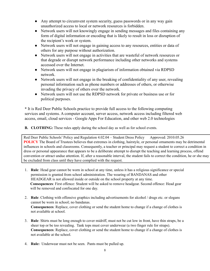- Any attempt to circumvent system security, guess passwords or in any way gain unauthorized access to local or network resources is forbidden.
- Network users will not knowingly engage in sending messages and files containing any form of digital information or encoding that is likely to result in loss or disruption of the recipient's work or system.
- Network users will not engage in gaining access to any resources, entities or data of others for any purpose without authorization.
- Network users will not engage in activities that are wasteful of network resources or that degrade or disrupt network performance including other networks and systems accessed over the Internet.
- Network users will not engage in plagiarism of information obtained via RDPSD network.
- Network users will not engage in the breaking of confidentiality of any user, revealing personal information such as phone numbers or addresses of others, or otherwise invading the privacy of others over the network.
- Network users will not use the RDPSD network for private or business use or for political purposes.

**\*** It is Red Deer Public Schools practice to provide full access to the following computing services and systems. A computer account, server access, network access including filtered web access, email, cloud services - Google Apps For Education, and other web 2.0 technologies

**B. CLOTHING:** These rules apply during the school day as well as for school events.

Red Deer Public Schools' Policy and Regulation 4.02.04 – Student Dress Policy Approved: 2010.05.26 **POLICY** The Board of Trustees believes that extremes in clothing, hairstyle, or personal ornaments may be detrimental influences in schools and classrooms. Consequently, a teacher or principal may request a student to correct a condition in dress or personal appearance that appears to be a deliberate attempt to disrupt the teaching and learning process, offend convention or attract undue attention. If, after a reasonable interval, the student fails to correct the condition, he or she may be excluded from class until they have complied with the request.

- 1. **Rule**: Head gear cannot be worn in school at any time, unless it has a religious significance or special permission is granted from school administration. The wearing of BANDANAS and other HEADGEAR is not allowed inside or outside on the school property at any time. **Consequences**: First offence: Student will be asked to remove headgear. Second offence: Head gear will be removed and confiscated for one day.
- 2. **Rule**: Clothing with offensive graphics including advertisements for alcohol / drugs etc. or slogans cannot be worn in school; no bandanas. **Consequences**: Replace, cover clothing or send the student home to change if a change of clothes is not available at school.
- 3. **Rule**: Shirts must be long enough to cover midriff, must not be cut low in front, have thin straps, be a sheer top or be too revealing. Tank tops must cover underwear (a two finger rule for straps). **Consequences**: Replace, cover clothing or send the student home to change if a change of clothes is not available at the school.
- 4. **Rule:** Underwear must not be seen. Pants must be pulled up.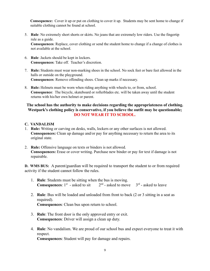**Consequence:** Cover it up or put on clothing to cover it up. Students may be sent home to change if suitable clothing cannot be found at school.

5. **Rule**: No extremely short shorts or skirts. No jeans that are extremely low riders. Use the fingertip rule as a guide.

**Consequences**: Replace, cover clothing or send the student home to change if a change of clothes is not available at the school.

- 6. **Rule**: Jackets should be kept in lockers. **Consequences**: Take off. Teacher's discretion.
- 7. **Rule:** Students must wear non-marking shoes in the school. No sock feet or bare feet allowed in the halls or outside on the playground. **Consequences**: Remove offending shoes. Clean up marks if necessary.
- 8. **Rule:** Helmets must be worn when riding anything with wheels to, or from, school. **Consequence**: The bicycle, skateboard or rollerblades etc. will be taken away until the student returns with his/her own helmet or parent.

# **The school has the authority to make decisions regarding the appropriateness of clothing. Westpark's clothing policy is conservative, if you believe the outfit may be questionable; DO NOT WEAR IT TO SCHOOL.**

- **C. VANDALISM**
- 1. **Rule:** Writing or carving on desks, walls, lockers or any other surfaces is not allowed. **Consequences:** Clean up damage and/or pay for anything necessary to return the area to its original state.
- 2. **Rule:** Offensive language on texts or binders is not allowed. **Consequences:** Erase or cover writing. Purchase new binder or pay for text if damage is not repairable.

**D. WMS BUS:** A parent/guardian will be required to transport the student to or from required activity if the student cannot follow the rules.

- 1. **Rule**: Students must be sitting when the bus is moving. **Consequences**:  $1^{st}$  - asked to sit  $2^{rt}$  $n<sup>nd</sup>$  - asked to move  $3<sup>rd</sup>$  - asked to leave
- 2. **Rule**: Bus will be loaded and unloaded from front to back (2 or 3 sitting in a seat as required). **Consequences**: Clean bus upon return to school.
- 3. **Rule**: The front door is the only approved entry or exit. **Consequences**: Driver will assign a clean up duty.
- 4. **Rule**: No vandalism. We are proud of our school bus and expect everyone to treat it with respect. **Consequences**: Student will pay for damage and repairs.

9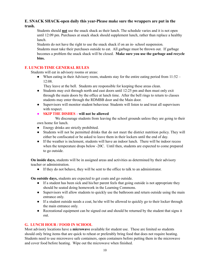# **E. SNACK SHACK-open daily this year-Please make sure the wrappers are put in the trash.**

Students should **not** use the snack shack as their lunch. The schedule varies and it is not open until 12:09 pm. Purchases at snack shack should supplement lunch, rather than replace a healthy lunch.

Students do not have the right to use the snack shack if on an in- school suspension. Students must take their purchases outside to eat. All garbage must be thrown out. If garbage becomes a problem the snack shack will be closed. **Make sure you use the garbage and recycle bins.**

## **F. LUNCH-TIME GENERAL RULES**

Students will eat in advisory rooms or areas:

• When eating in their Advisory room, students stay for the entire eating period from  $11:52 -$ 12:08.

They leave at the bell. Students are responsible for keeping these areas clean.

- Students may exit through north and east doors until 12:25 pm and then must only exit through the main doors by the office at lunch time. After the bell rings to return to classes students may enter through the RDMBB door and the Main door.
- Supervisors will monitor student behaviour. Students will listen to and treat all supervisors with respect.
- **● SKIP THE DISHES - will not be allowed**

We discourage students from leaving the school grounds unless they are going to their own home for lunch.

- Energy drinks are strictly prohibited.
- Students will not be permitted drinks that do not meet the district nutrition policy. They will either be confiscated or be asked to leave them in their lockers until the end of day.
- If the weather is inclement, students will have an indoor lunch. There will be indoor recess when the temperature drops below -20C. Until then, students are expected to come prepared to go outside.

**On inside days,** students will be in assigned areas and activities as determined by their advisory teacher or administration.

● If they do not behave, they will be sent to the office to talk to an administrator.

**On outside days,** students are expected to get coats and go outside.

- If a student has been sick and his/her parent feels that going outside is not appropriate they should be seated doing homework in the Learning Commons.
- Supervisors will allow students to quickly use the bathroom and return outside using the main entrance only.
- If a student outside needs a coat, he/she will be allowed to quickly go to their locker through the main entrance only.
- Recreational equipment can be signed out and should be returned by the student that signs it out.

# **G. LUNCH HOUR / FOOD IN SCHOOL**

Most advisory locations have a **microwave** available for student use. These are limited so students should only bring items that are quick to reheat or preferably bring food that does not require heating. Students need to use microwave safe containers, open containers before putting them in the microwave and cover food before heating. Wipe out the microwave when finished.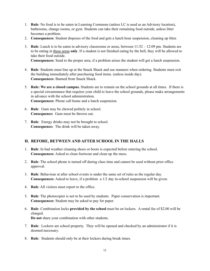- 1. **Rule**: No food is to be eaten in Learning Commons (unless LC is used as an Advisory location), bathrooms, change rooms, or gym. Students can take their remaining food outside, unless litter becomes a problem.
- 2. **Consequences**: Student disposes of the food and gets a lunch hour suspension, cleaning up litter.
- 3. **Rule**: Lunch is to be eaten in advisory classrooms or areas, between 11:52 12:09 pm. Students are to be eating in these areas **only**. If a student is not finished eating by the bell, they will be allowed to take their food outside.

**Consequences**: Send to the proper area, if a problem arises the student will get a lunch suspension.

- 4. **Rule**: Students must line up at the Snack Shack and use manners when ordering. Students must exit the building immediately after purchasing food items. (unless inside day). **Consequences**: Banned from Snack Shack.
- 5. **Rule: We are a closed campus.** Students are to remain on the school grounds at all times. If there is a special circumstance that requires your child to leave the school grounds, please make arrangements in advance with the school administration. **Consequences**: Phone call home and a lunch suspension.
- 6. **Rule**: Gum may be chewed politely in school. **Consequence:** Gum must be thrown out.
- 7. **Rule**: Energy drinks may not be brought to school. **Consequence:** The drink will be taken away.

#### **H. BEFORE, BETWEEN AND AFTER SCHOOL IN THE HALLS**

- 1. **Rule**: In bad weather cleaning shoes or boots is expected before entering the school. **Consequences**: Asked to clean footwear and clean up the mess.
- 2. **Rule**: The school phone is turned off during class time and cannot be used without prior office approval.
- 3. **Rule**: Behaviour at after school events is under the same set of rules as the regular day. **Consequences**: Asked to leave, if a problem a 1/2 day in-school suspension will be given.
- 4. **Rule**: All visitors must report to the office.
- 5. **Rule**: The photocopier is not to be used by students. Paper conservation is important. **Consequences**: Student may be asked to pay for paper.
- 6. **Rule**: Combination locks **provided by the school** must be on lockers. A rental fee of \$2.00 will be charged. **Do not** share your combination with other students.
- 7. **Rule**: Lockers are school property. They will be opened and checked by an administrator if it is deemed necessary.
- 8. **Rule**: Students should only be at their lockers during break times.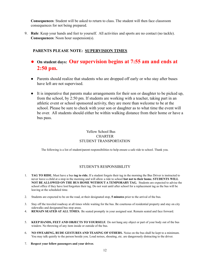**Consequences**: Student will be asked to return to class. The student will then face classroom consequences for not being prepared.

9. **Rule**: Keep your hands and feet to yourself. All activities and sports are no contact (no tackle). **Consequences**: Noon hour suspension(s).

# **PARENTS PLEASE NOTE: SUPERVISION TIMES**

- **On student days: Our supervision begins at 7:55 am and ends at 2:50 pm.**
- Parents should realize that students who are dropped off early or who stay after buses have left are not supervised.
- It is imperative that parents make arrangements for their son or daughter to be picked up, from the school, by 2:50 pm. If students are working with a teacher, taking part in an athletic event or school sponsored activity, they are more than welcome to be at the school. Please be sure to check with your son or daughter as to what time the event will be over. All students should either be within walking distance from their home or have a bus pass.

### Yellow School Bus CHARTER STUDENT TRANSPORTATION

The following is a list of student/parent responsibilities to help ensure a safe ride to school. Thank you.

#### STUDENT'S RESPONSIBILITY

- 1. **TAG TO RIDE.** Must have a bus **tag to ride.** If a student forgets their tag in the morning the Bus Driver is instructed to never leave a child at a stop in the morning and will allow a ride to school **but not to their home. STUDENTS WILL NOT BE ALLOWED ON THE BUS HOME WITHOUT A TEMPORARY TAG.** Students are expected to advise the school office if they have lost/forgotten their tag. Do not wait until after school for a replacement tag as the bus will be leaving at the scheduled time.
- 2. Students are expected to be on the road, at their designated stop, **5 minutes** prior to the arrival of the bus.
- 3. Stay off the traveled roadway at all times while waiting for the bus. Be courteous of residential property and stay on city sidewalks and designated bus stop areas.
- 4. **REMAIN SEATED AT ALL TIMES.** Be seated promptly in your assigned seat. Remain seated and face forward.
- 5. **KEEP HANDS, FEET AND OBJECTS TO YOURSELF.** Do not hang any object or part of your body out of the bus window. No throwing of any item inside or outside of the bus.
- 6. **NO SWEARING, RUDE GESTURES AND TEASING OF OTHERS.** Noise on the bus shall be kept to a minimum. You may talk quietly to the person beside you. Loud noises, shouting, etc. are dangerously distracting to the driver.
- 7. **Respect your fellow passengers and your driver.**